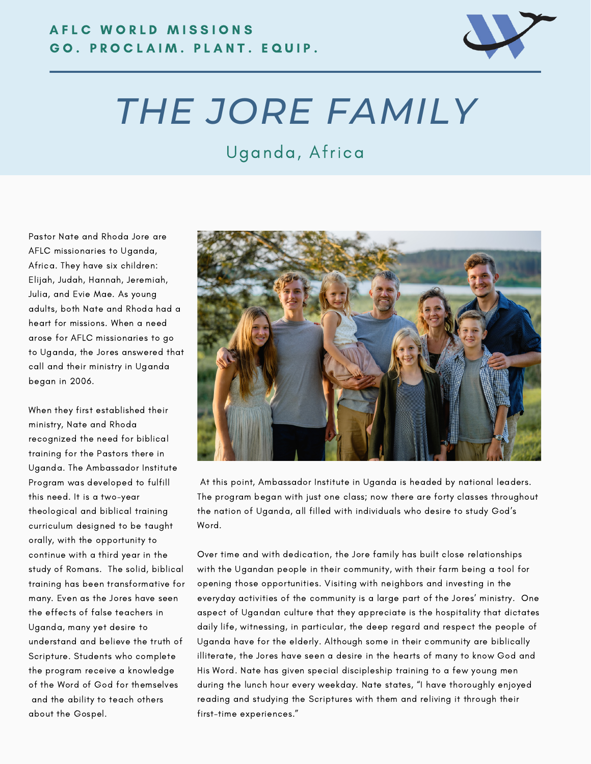

## *THE JORE FAMILY*

## Uganda, Africa

Pastor Nate and Rhoda Jore are AFLC missionaries to Uganda, Africa. They have six children: Elijah, Judah, Hannah, Jeremiah, Julia, and Evie Mae. As young adults, both Nate and Rhoda had a heart for missions. When a need arose for AFLC missionaries to go to Uganda, the Jores answered that call and their ministry in Uganda began in 2006.

When they first established their ministry, Nate and Rhoda recognized the need for biblical training for the Pastors there in Uganda. The Ambassador Institute Program was developed to fulfill this need. It is a two-year theological and biblical training curriculum designed to be taught orally, with the opportunity to continue with a third year in the study of Romans. The solid, biblical training has been transformative for many. Even as the Jores have seen the effects of false teachers in Uganda, many yet desire to understand and believe the truth of Scripture. Students who complete the program receive a knowledge of the Word of God for themselves and the ability to teach others about the Gospel.



At this point, Ambassador Institute in Uganda is headed by national leaders. The program began with just one class; now there are forty classes throughout the nation of Uganda, all filled with individuals who desire to study God's Word.

Over time and with dedication, the Jore family has built close relationships with the Ugandan people in their community, with their farm being a tool for opening those opportunities. Visiting with neighbors and investing in the everyday activities of the community is a large part of the Jores' ministry. One aspect of Ugandan culture that they appreciate is the hospitality that dictates daily life, witnessing, in particular, the deep regard and respect the people of Uganda have for the elderly. Although some in their community are biblically illiterate, the Jores have seen a desire in the hearts of many to know God and His Word. Nate has given special discipleship training to a few young men during the lunch hour every weekday. Nate states, "I have thoroughly enjoyed reading and studying the Scriptures with them and reliving it through their first-time experiences."